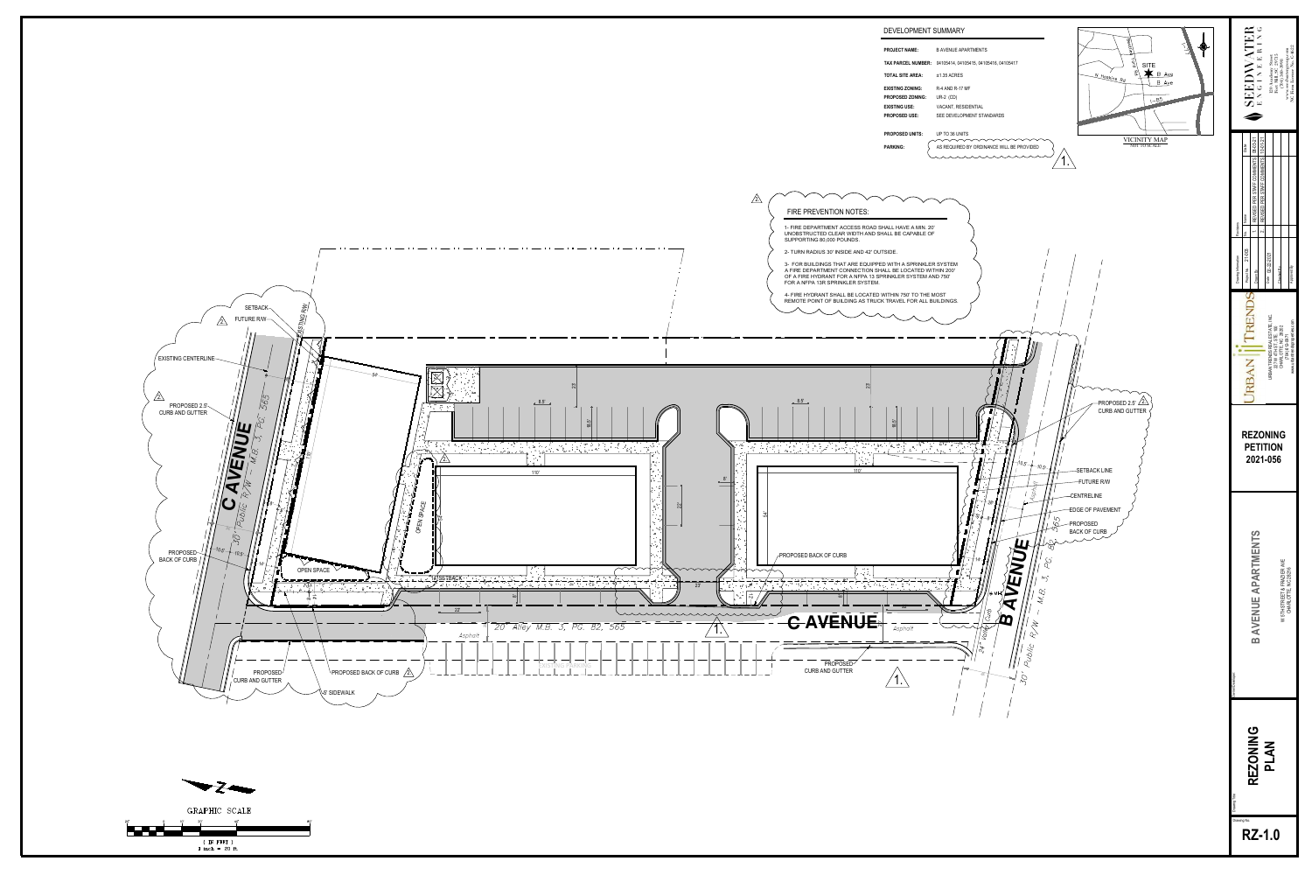